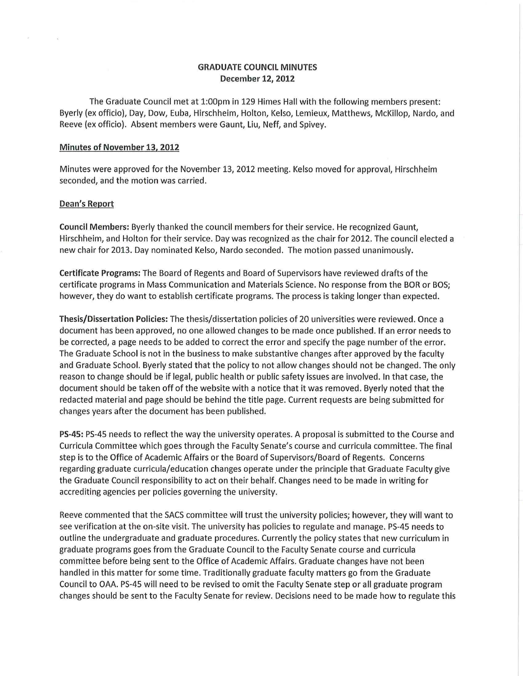# GRADUATE COUNCIL MINUTES December 12, 2012

The Graduate Council met at 1:00pm in 129 Himes Hall with the following members present: Byerly (ex officio), Day, Dow, Euba, Hirschheim, Holton, Kelso, Lemieux, Matthews, McKillop, Nardo, and Reeve (ex officio). Absent members were Gaunt, Liu, Neff, and Spivey.

#### Minutes of November 13, 2012

Minutes were approved for the November 13, 2012 meeting. Kelso moved for approval, Hirschheim seconded, and the motion was carried.

## Dean's Report

Council Members: Byerly thanked the council members for their service. He recognized Gaunt, Hirschheim, and Holton for their service. Day was recognized as the chair for 2012. The council elected a new chair for 2013. Day nominated Kelso, Nardo seconded. The motion passed unanimously.

Certificate Programs: The Board of Regents and Board of Supervisors have reviewed drafts of the certificate programs in Mass Communication and Materials Science. No response from the BOR or BOS; however, they do want to establish certificate programs. The process is taking longer than expected.

Thesis/Dissertation Policies: The thesis/dissertation policies of 20 universities were reviewed. Once a document has been approved, no one allowed changes to be made once published. If an error needs to be corrected, a page needs to be added to correct the error and specify the page number of the error. The Graduate School is not in the business to make substantive changes after approved by the faculty and Graduate School. Byerly stated that the policy to not allow changes should not be changed. The only reason to change should be if legal, public health or public safety issues are involved. In that case, the document should be taken off of the website with a notice that it was removed. Byerly noted that the redacted material and page should be behind the title page. Current requests are being submitted for changes years after the document has been published.

PS-45: PS-45 needs to reflect the way the university operates. A proposal is submitted to the Course and Curricula Committee which goes through the Faculty Senate's course and curricula committee. The final step is to the Office of Academic Affairs or the Board of Supervisors/Board of Regents. Concerns regarding graduate curricula/education changes operate under the principle that Graduate Faculty give the Graduate Council responsibility to act on their behalf. Changes need to be made in writing for accrediting agencies per policies governing the university.

Reeve commented that the SACS committee will trust the university policies; however, they will want to see verification at the on-site visit. The university has policies to regulate and manage. PS-45 needs to outline the undergraduate and graduate procedures. Currently the policy states that new curriculum in graduate programs goes from the Graduate Council to the Faculty Senate course and curricula committee before being sent to the Office of Academic Affairs. Graduate changes have not been handled in this matter for some time. Traditionally graduate faculty matters go from the Graduate Council to OAA. PS-45 will need to be revised to omit the Faculty Senate step or all graduate program changes should be sent to the Faculty Senate for review. Decisions need to be made how to regulate this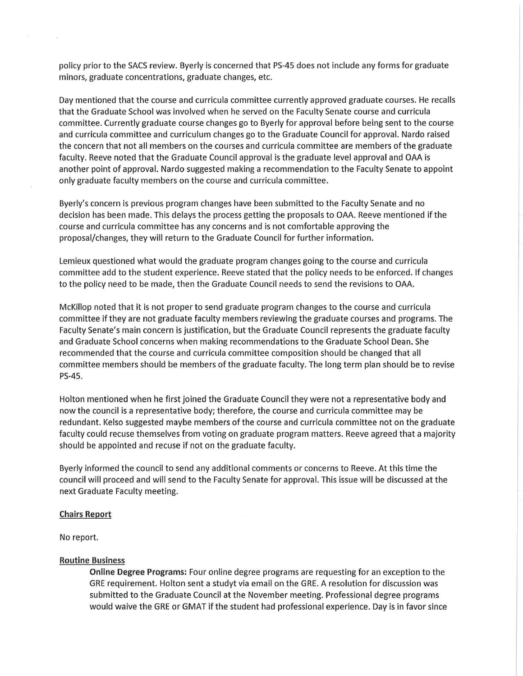policy prior to the SACS review. Byerly is concerned that PS-45 does not include any forms for graduate minors, graduate concentrations, graduate changes, etc.

Day mentioned that the course and curricula committee currently approved graduate courses. He recalls that the Graduate School was involved when he served on the Faculty Senate course and curricula committee. Currently graduate course changes go to Byerly for approval before being sent to the course and curricula committee and curriculum changes go to the Graduate Council for approval. Nardo raised the concern that not all members on the courses and curricula committee are members of the graduate faculty. Reeve noted that the Graduate Council approval is the graduate level approval and OAA is another point of approval. Nardo suggested making a recommendation to the Faculty Senate to appoint only graduate faculty members on the course and curricula committee.

Byerly's concern is previous program changes have been submitted to the Faculty Senate and no decision has been made. This delays the process getting the proposals to OAA. Reeve mentioned if the . course and curricula committee has any concerns and is not comfortable approving the proposal/changes, they will return to the Graduate Council for further information.

Lemieux questioned what would the graduate program changes going to the course and curricula committee add to the student experience. Reeve stated that the policy needs to be enforced. If changes to the policy need to be made, then the Graduate Council needs to send the revisions to OAA.

McKillop noted that it is not proper to send graduate program changes to the course and curricula committee if they are not graduate faculty members reviewing the graduate courses and programs. The Faculty Senate's main concern is justification, but the Graduate Council represents the graduate faculty and Graduate School concerns when making recommendations to the Graduate School Dean. She recommended that the course and curricula committee composition should be changed that all committee members should be members of the graduate faculty. The long term plan should be to revise PS-45.

Holton mentioned when he first joined the Graduate Council they were not a representative body and now the council is a representative body; therefore, the course and curricula committee may be redundant. Kelso suggested maybe members of the course and curricula committee not on the graduate faculty could recuse themselves from voting on graduate program matters. Reeve agreed that a majority should be appointed and recuse if not on the graduate faculty.

Byerly informed the council to send any additional comments or concerns to Reeve. At this time the council will proceed and will send to the Faculty Senate for approval. This issue will be discussed at the next Graduate Faculty meeting.

## Chairs Report

No report.

ne.

## Routine Business

Online Degree Programs: Four online degree programs are requesting for an exception to the GRE requirement. Holton sent a studyt via email on the GRE. A resolution for discussion was submitted to the Graduate Council at the November meeting. Professional degree programs would waive the GRE or GMAT if the student had professional experience. Day is in favor since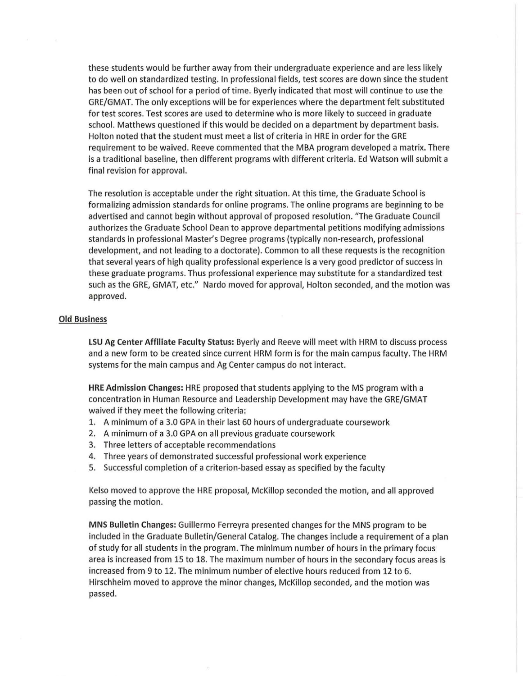these students would be further away from their undergraduate experience and are less likely to do well on standardized testing. In professional fields, test scores are down since the student has been out of school for a period of time. Byerly indicated that most will continue to use the GRE/GMAT. The only exceptions will be for experiences where the department felt substituted for test scores. Test scores are used to determine who is more likely to succeed in graduate school. Matthews questioned if this would be decided on a department by department basis. Holton noted that the student must meet a list of criteria in HRE in order for the GRE requirement to be waived. Reeve commented that the MBA program developed a matrix. There is a traditional baseline, then different programs with different criteria. Ed Watson will submit a final revision for approval.

The resolution is acceptable under the right situation. At this time, the Graduate School is formalizing admission standards for online programs. The online programs are beginning to be advertised and cannot begin without approval of proposed resolution. "The Graduate Council authorizes the Graduate School Dean to approve departmental petitions modifying admissions standards in professional Master's Degree programs (typically non-research, professional development, and not leading to a doctorate). Common to all these requests is the recognition that several years of high quality professional experience is a very good predictor of success in these graduate programs. Thus professional experience may substitute for a standardized test such as the GRE, GMAT, etc." Nardo moved for approval, Holton seconded, and the motion was approved.

### Old Business

LSU Ag Center Affiliate Faculty Status: Byerly and Reeve will meet with HRM to discuss process and a new form to be created since current HRM form is for the main campus faculty. The HRM systems for the main campus and Ag Center campus do not interact.

HRE Admission Changes: HRE proposed that students applying to the MS program with a concentration in Human Resource and Leadership Development may have the GRE/GMAT waived if they meet the following criteria:

- 1. A minimum of a 3.0 GPA in their last 60 hours of undergraduate coursework
- 2. A minimum of a 3.0 GPA on all previous graduate coursework
- 3. Three letters of acceptable recommendations
- 4. Three years of demonstrated successful professional work experience
- 5. Successful completion of a criterion-based essay as specified by the faculty

Kelso moved to approve the HRE proposal, McKillop seconded the motion, and all approved passing the motion.

MNS Bulletin Changes: Guillermo Ferreyra presented changes for the MNS program to be included in the Graduate Bulletin/General Catalog. The changes include a requirement of a plan of study for all students in the program. The minimum number of hours in the primary focus area is increased from 15 to 18. The maximum number of hours in the secondary focus areas is increased from 9 to 12. The minimum number of elective hours reduced from 12 to 6. Hirschheim moved to approve the minor changes, McKillop seconded, and the motion was passed.